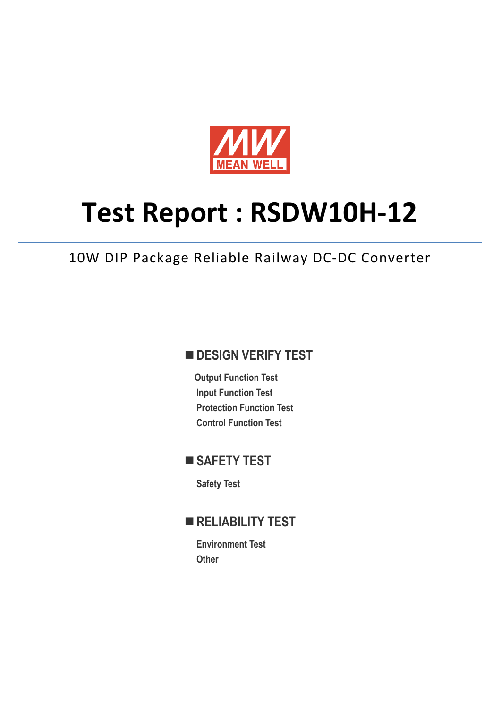

# **Test Report : RSDW10H-12**

10W DIP Package Reliable Railway DC-DC Converter

## **DESIGN VERIFY TEST**

**Output Function Test Input Function Test Protection Function Test Control Function Test** 

# ■ SAFETY TEST

**Safety Test** 

## **RELIABILITY TEST**

**Environment Test Other**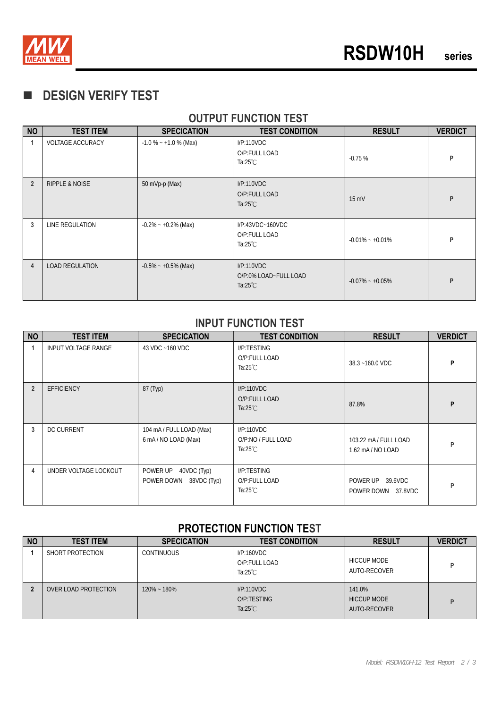

# **DESIGN VERIFY TEST**

## **OUTPUT FUNCTION TEST**

| <b>NO</b>      | <b>TEST ITEM</b>          | <b>SPECICATION</b>      | <b>TEST CONDITION</b>                                     | <b>RESULT</b>       | <b>VERDICT</b> |
|----------------|---------------------------|-------------------------|-----------------------------------------------------------|---------------------|----------------|
| 1              | <b>VOLTAGE ACCURACY</b>   | $-1.0\% - +1.0\%$ (Max) | I/P:110VDC<br>O/P:FULL LOAD<br>Ta: $25^{\circ}$ C         | $-0.75%$            | P              |
| $\overline{2}$ | <b>RIPPLE &amp; NOISE</b> | 50 mVp-p (Max)          | I/P:110VDC<br>O/P:FULL LOAD<br>Ta: $25^{\circ}$ C         | $15 \text{ mV}$     | P              |
| 3              | LINE REGULATION           | $-0.2\% - +0.2\%$ (Max) | $IP:43VDC-160VDC$<br>O/P:FULL LOAD<br>Ta: $25^{\circ}$ C  | $-0.01\% - +0.01\%$ | P              |
| $\overline{4}$ | <b>LOAD REGULATION</b>    | $-0.5\% - +0.5\%$ (Max) | I/P:110VDC<br>O/P:0% LOAD~FULL LOAD<br>Ta: $25^{\circ}$ C | $-0.07\% - +0.05\%$ | P              |

#### **INPUT FUNCTION TEST**

| <b>NO</b>      | <b>TEST ITEM</b>           | <b>SPECICATION</b>                                   | <b>TEST CONDITION</b>                              | <b>RESULT</b>                            | <b>VERDICT</b> |
|----------------|----------------------------|------------------------------------------------------|----------------------------------------------------|------------------------------------------|----------------|
|                | <b>INPUT VOLTAGE RANGE</b> | 43 VDC ~160 VDC                                      | I/P:TESTING<br>O/P:FULL LOAD<br>Ta: $25^{\circ}$ C | 38.3~160.0 VDC                           | P              |
| $\overline{2}$ | <b>EFFICIENCY</b>          | 87 (Typ)                                             | I/P:110VDC<br>O/P:FULL LOAD<br>Ta: $25^{\circ}$ C  | 87.8%                                    | P              |
| 3              | <b>DC CURRENT</b>          | 104 mA / FULL LOAD (Max)<br>6 mA/NO LOAD (Max)       | I/P:110VDC<br>O/P:NO / FULL LOAD<br>Ta:25 $°C$     | 103.22 mA / FULL LOAD<br>1.62 mA/NO LOAD | P              |
| 4              | UNDER VOLTAGE LOCKOUT      | POWER UP<br>40VDC (Typ)<br>POWER DOWN<br>38VDC (Typ) | I/P:TESTING<br>O/P:FULL LOAD<br>Ta: $25^{\circ}$ C | POWER UP 39.6VDC<br>POWER DOWN 37.8VDC   | P              |

#### **PROTECTION FUNCTION TEST**

| <b>NO</b> | <b>TEST ITEM</b>     | <b>SPECICATION</b> | <b>TEST CONDITION</b>                             | <b>RESULT</b>                                | <b>VERDICT</b> |
|-----------|----------------------|--------------------|---------------------------------------------------|----------------------------------------------|----------------|
|           | SHORT PROTECTION     | <b>CONTINUOUS</b>  | I/P:160VDC<br>O/P:FULL LOAD<br>Ta: $25^{\circ}$ C | <b>HICCUP MODE</b><br>AUTO-RECOVER           |                |
|           | OVER LOAD PROTECTION | $120\% - 180\%$    | I/P:110VDC<br>O/P:TESTING<br>Ta: $25^{\circ}$ C   | 141.0%<br><b>HICCUP MODE</b><br>AUTO-RECOVER | D              |